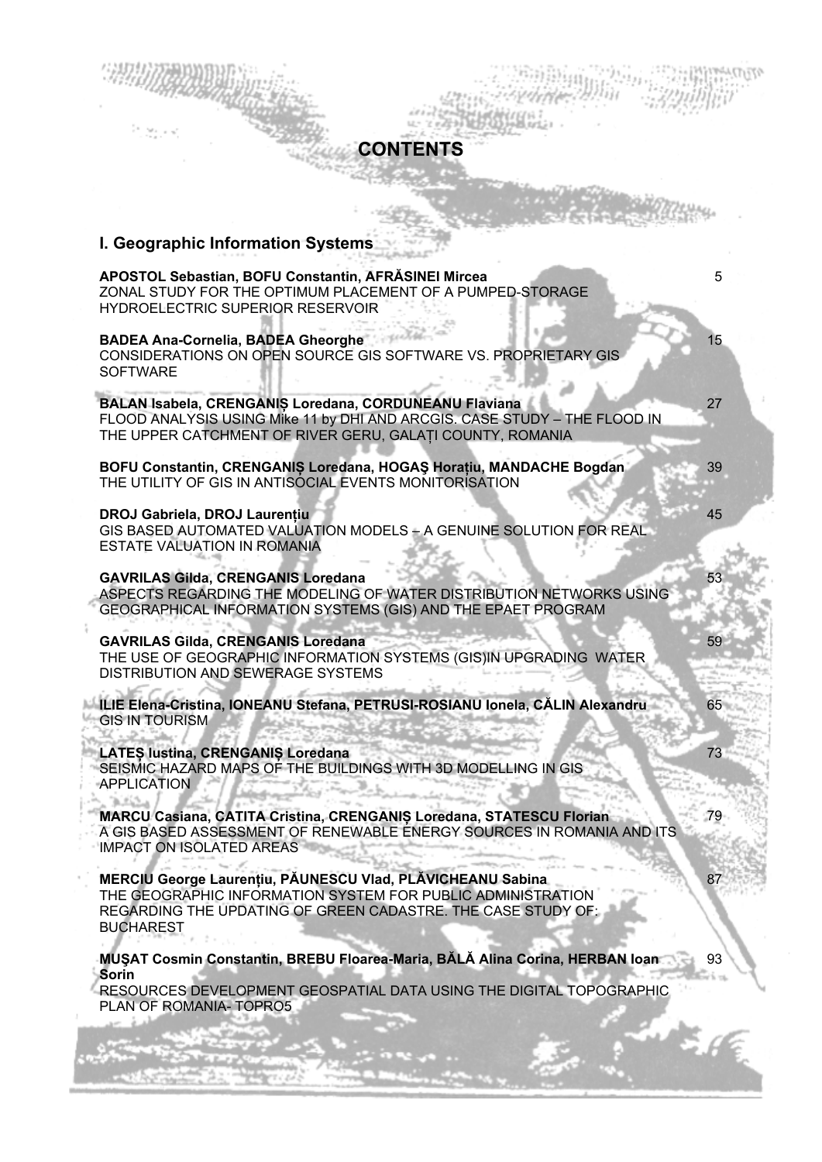## I Geographic Information Syst

**SSC/RECORD** 

| <u>ı. Geograpınc imormation əyətemə</u>                                                                                                                                                                       |    |
|---------------------------------------------------------------------------------------------------------------------------------------------------------------------------------------------------------------|----|
| APOSTOL Sebastian, BOFU Constantin, AFRASINEI Mircea<br>ZONAL STUDY FOR THE OPTIMUM PLACEMENT OF A PUMPED-STORAGE<br>HYDROELECTRIC SUPERIOR RESERVOIR                                                         | 5  |
| <b>BADEA Ana-Cornelia, BADEA Gheorghe</b><br>CONSIDERATIONS ON OPEN SOURCE GIS SOFTWARE VS. PROPRIETARY GIS<br><b>SOFTWARE</b>                                                                                | 15 |
| BALAN Isabela, CRENGANIS Loredana, CORDUNEANU Flaviana<br>FLOOD ANALYSIS USING Mike 11 by DHI AND ARCGIS. CASE STUDY - THE FLOOD IN<br>THE UPPER CATCHMENT OF RIVER GERU, GALATI COUNTY, ROMANIA              | 27 |
| BOFU Constantin, CRENGANIȘ Loredana, HOGAȘ Horațiu, MANDACHE Bogdan<br>THE UTILITY OF GIS IN ANTISOCIAL EVENTS MONITORISATION                                                                                 | 39 |
| DROJ Gabriela, DROJ Laurențiu<br>GIS BASED AUTOMATED VALUATION MODELS - A GENUINE SOLUTION FOR REAL<br>ESTATE VALUATION IN ROMANIA                                                                            | 45 |
| <b>GAVRILAS Gilda, CRENGANIS Loredana</b><br>ASPECTS REGARDING THE MODELING OF WATER DISTRIBUTION NETWORKS USING<br>GEOGRAPHICAL INFORMATION SYSTEMS (GIS) AND THE EPAET PROGRAM                              | 53 |
| <b>GAVRILAS Gilda, CRENGANIS Loredana</b><br>THE USE OF GEOGRAPHIC INFORMATION SYSTEMS (GIS)IN UPGRADING WATER<br>DISTRIBUTION AND SEWERAGE SYSTEMS                                                           | 59 |
| ILIE Elena-Cristina, IONEANU Stefana, PETRUSI-ROSIANU Ionela, CĂLIN Alexandru<br><b>GIS IN TOURISM</b>                                                                                                        | 65 |
| LATES lustina, CRENGANIS Loredana<br>SEISMIC HAZARD MAPS OF THE BUILDINGS WITH 3D MODELLING IN GIS<br><b>APPLICATION</b>                                                                                      | 73 |
| MARCU Casiana, CATITA Cristina, CRENGANIS Loredana, STATESCU Florian<br>A GIS BASED ASSESSMENT OF RENEWABLE ENERGY SOURCES IN ROMANIA AND ITS<br><b>IMPACT ON ISOLATED AREAS</b>                              | 79 |
| MERCIU George Laurențiu, PĂUNESCU Vlad, PLĂVICHEANU Sabina<br>THE GEOGRAPHIC INFORMATION SYSTEM FOR PUBLIC ADMINISTRATION<br>REGARDING THE UPDATING OF GREEN CADASTRE. THE CASE STUDY OF:<br><b>BUCHAREST</b> | 87 |

**CONTENTS** 

MUŞAT Cosmin Constantin, BREBU Floarea-Maria, BĂLĂ Alina Corina, HERBAN Ioan 93 Sorin

RESOURCES DEVELOPMENT GEOSPATIAL DATA USING THE DIGITAL TOPOGRAPHIC PLAN OF ROMANIA-TOPRO5